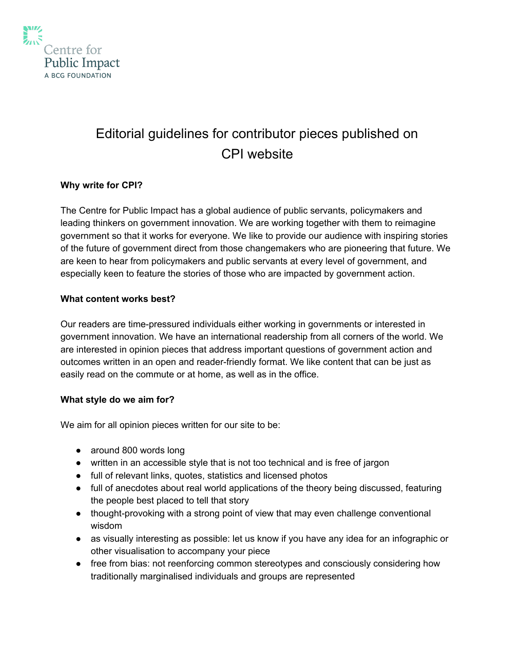

# Editorial guidelines for contributor pieces published on CPI website

## **Why write for CPI?**

The Centre for Public Impact has a global audience of public servants, policymakers and leading thinkers on government innovation. We are working together with them to reimagine government so that it works for everyone. We like to provide our audience with inspiring stories of the future of government direct from those changemakers who are pioneering that future. We are keen to hear from policymakers and public servants at every level of government, and especially keen to feature the stories of those who are impacted by government action.

#### **What content works best?**

Our readers are time-pressured individuals either working in governments or interested in government innovation. We have an international readership from all corners of the world. We are interested in opinion pieces that address important questions of government action and outcomes written in an open and reader-friendly format. We like content that can be just as easily read on the commute or at home, as well as in the office.

#### **What style do we aim for?**

We aim for all opinion pieces written for our site to be:

- around 800 words long
- written in an accessible style that is not too technical and is free of jargon
- full of relevant links, quotes, statistics and licensed photos
- full of anecdotes about real world applications of the theory being discussed, featuring the people best placed to tell that story
- thought-provoking with a strong point of view that may even challenge conventional wisdom
- as visually interesting as possible: let us know if you have any idea for an infographic or other visualisation to accompany your piece
- free from bias: not reenforcing common stereotypes and consciously considering how traditionally marginalised individuals and groups are represented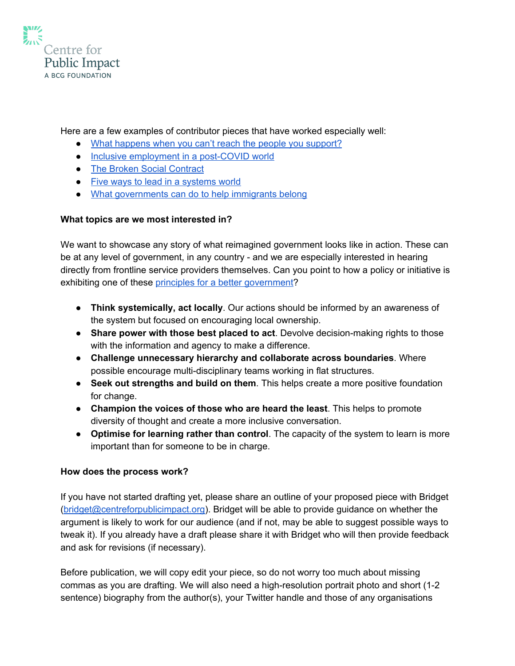

Here are a few examples of contributor pieces that have worked especially well:

- What [happens](https://www.centreforpublicimpact.org/happens-cant-reach-people-support/) when you can't reach the people you support?
- Inclusive [employment](https://www.centreforpublicimpact.org/inclusive-employment-post-covid-world/) in a post-COVID world
- The Broken Social [Contract](https://www.centreforpublicimpact.org/broken-social-contract/)
- Five ways to lead in a [systems](https://www.centreforpublicimpact.org/five-ways-lead-systems-world/) world
- What [governments](https://www.centreforpublicimpact.org/governments-can-help-immigrants-belong/) can do to help immigrants belong

### **What topics are we most interested in?**

We want to showcase any story of what reimagined government looks like in action. These can be at any level of government, in any country - and we are especially interested in hearing directly from frontline service providers themselves. Can you point to how a policy or initiative is exhibiting one of these principles for a better [government?](https://medium.com/centre-for-public-impact/a-manifesto-for-better-government-8121132f45ef)

- **Think systemically, act locally**. Our actions should be informed by an awareness of the system but focused on encouraging local ownership.
- **Share power with those best placed to act**. Devolve decision-making rights to those with the information and agency to make a difference.
- **Challenge unnecessary hierarchy and collaborate across boundaries**. Where possible encourage multi-disciplinary teams working in flat structures.
- **Seek out strengths and build on them**. This helps create a more positive foundation for change.
- **Champion the voices of those who are heard the least**. This helps to promote diversity of thought and create a more inclusive conversation.
- **Optimise for learning rather than control**. The capacity of the system to learn is more important than for someone to be in charge.

#### **How does the process work?**

If you have not started drafting yet, please share an outline of your proposed piece with Bridget ([bridget@centreforpublicimpact.org\)](mailto:bridget@centreforpublicimpact.org). Bridget will be able to provide guidance on whether the argument is likely to work for our audience (and if not, may be able to suggest possible ways to tweak it). If you already have a draft please share it with Bridget who will then provide feedback and ask for revisions (if necessary).

Before publication, we will copy edit your piece, so do not worry too much about missing commas as you are drafting. We will also need a high-resolution portrait photo and short (1-2 sentence) biography from the author(s), your Twitter handle and those of any organisations